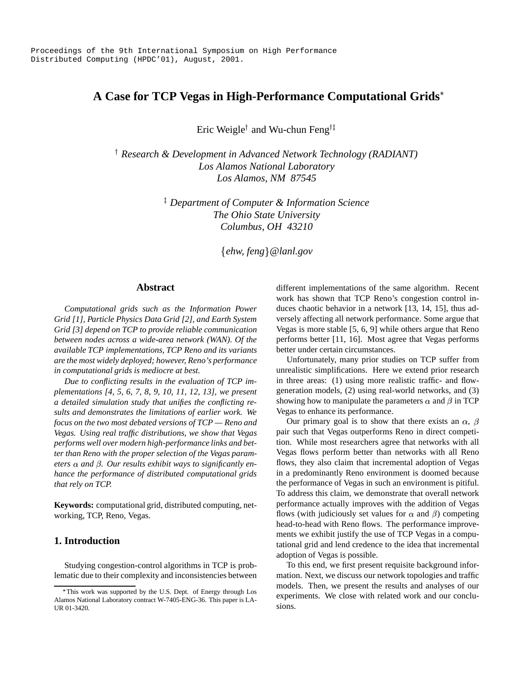# **A Case for TCP Vegas in High-Performance Computational Grids**

Eric Weigle<sup>†</sup> and Wu-chun Feng<sup>†</sup>

 *Research & Development in Advanced Network Technology (RADIANT) Los Alamos National Laboratory Los Alamos, NM 87545*

> - *Department of Computer & Information Science The Ohio State University Columbus, OH 43210*

> > *ehw, feng @lanl.gov*

### **Abstract**

*Computational grids such as the Information Power Grid [1], Particle Physics Data Grid [2], and Earth System Grid [3] depend on TCP to provide reliable communication between nodes across a wide-area network (WAN). Of the available TCP implementations, TCP Reno and its variants are the most widely deployed; however, Reno's performance in computational grids is mediocre at best.*

*Due to conflicting results in the evaluation of TCP implementations [4, 5, 6, 7, 8, 9, 10, 11, 12, 13], we present a detailed simulation study that unifies the conflicting results and demonstrates the limitations of earlier work. We focus on the two most debated versions of TCP — Reno and Vegas. Using real traffic distributions, we show that Vegas performs well over modern high-performance links and better than Reno with the proper selection of the Vegas parameters*  $\alpha$  *and*  $\beta$ *. Our results exhibit ways to significantly enhance the performance of distributed computational grids that rely on TCP.*

**Keywords:** computational grid, distributed computing, networking, TCP, Reno, Vegas.

# **1. Introduction**

Studying congestion-control algorithms in TCP is problematic due to their complexity and inconsistencies between different implementations of the same algorithm. Recent work has shown that TCP Reno's congestion control induces chaotic behavior in a network [13, 14, 15], thus adversely affecting all network performance. Some argue that Vegas is more stable [5, 6, 9] while others argue that Reno performs better [11, 16]. Most agree that Vegas performs better under certain circumstances.

Unfortunately, many prior studies on TCP suffer from unrealistic simplifications. Here we extend prior research in three areas: (1) using more realistic traffic- and flowgeneration models, (2) using real-world networks, and (3) showing how to manipulate the parameters  $\alpha$  and  $\beta$  in TCP Vegas to enhance its performance.

Our primary goal is to show that there exists an  $\alpha$ ,  $\beta$ pair such that Vegas outperforms Reno in direct competition. While most researchers agree that networks with all Vegas flows perform better than networks with all Reno flows, they also claim that incremental adoption of Vegas in a predominantly Reno environment is doomed because the performance of Vegas in such an environment is pitiful. To address this claim, we demonstrate that overall network performance actually improves with the addition of Vegas flows (with judiciously set values for  $\alpha$  and  $\beta$ ) competing head-to-head with Reno flows. The performance improvements we exhibit justify the use of TCP Vegas in a computational grid and lend credence to the idea that incremental adoption of Vegas is possible.

To this end, we first present requisite background information. Next, we discuss our network topologies and traffic models. Then, we present the results and analyses of our experiments. We close with related work and our conclusions.

This work was supported by the U.S. Dept. of Energy through Los Alamos National Laboratory contract W-7405-ENG-36. This paper is LA-UR 01-3420.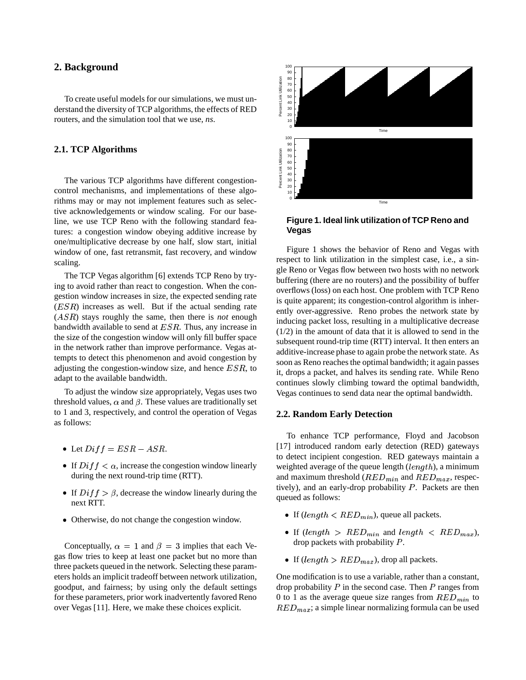# **2. Background**

To create useful models for our simulations, we must understand the diversity of TCP algorithms, the effects of RED routers, and the simulation tool that we use, *ns*.

#### **2.1. TCP Algorithms**

The various TCP algorithms have different congestioncontrol mechanisms, and implementations of these algorithms may or may not implement features such as selective acknowledgements or window scaling. For our baseline, we use TCP Reno with the following standard features: a congestion window obeying additive increase by one/multiplicative decrease by one half, slow start, initial window of one, fast retransmit, fast recovery, and window scaling.

The TCP Vegas algorithm [6] extends TCP Reno by trying to avoid rather than react to congestion. When the congestion window increases in size, the expected sending rate  $(ESR)$  increases as well. But if the actual sending rate  $(ASR)$  stays roughly the same, then there is *not* enough bandwidth available to send at  $ESR$ . Thus, any increase in the size of the congestion window will only fill buffer space in the network rather than improve performance. Vegas attempts to detect this phenomenon and avoid congestion by adjusting the congestion-window size, and hence  $ESR$ , to adapt to the available bandwidth.

To adjust the window size appropriately, Vegas uses two threshold values,  $\alpha$  and  $\beta$ . These values are traditionally set to 1 and 3, respectively, and control the operation of Vegas as follows:

- Let  $Diff = ESR ASR$ .
- If  $Diff < \alpha$ , increase the congestion window linearly during the next round-trip time (RTT).
- If  $Diff > \beta$ , decrease the window linearly during the next RTT.
- Otherwise, do not change the congestion window.

Conceptually,  $\alpha = 1$  and  $\beta = 3$  implies that each Vegas flow tries to keep at least one packet but no more than three packets queued in the network. Selecting these parameters holds an implicit tradeoff between network utilization, goodput, and fairness; by using only the default settings for these parameters, prior work inadvertently favored Reno over Vegas [11]. Here, we make these choices explicit.



## **Figure 1. Ideal link utilization of TCP Reno and Vegas**

Figure 1 shows the behavior of Reno and Vegas with respect to link utilization in the simplest case, i.e., a single Reno or Vegas flow between two hosts with no network buffering (there are no routers) and the possibility of buffer overflows (loss) on each host. One problem with TCP Reno is quite apparent; its congestion-control algorithm is inherently over-aggressive. Reno probes the network state by inducing packet loss, resulting in a multiplicative decrease (1/2) in the amount of data that it is allowed to send in the subsequent round-trip time (RTT) interval. It then enters an additive-increase phase to again probe the network state. As soon as Reno reaches the optimal bandwidth; it again passes it, drops a packet, and halves its sending rate. While Reno continues slowly climbing toward the optimal bandwidth, Vegas continues to send data near the optimal bandwidth.

#### **2.2. Random Early Detection**

To enhance TCP performance, Floyd and Jacobson [17] introduced random early detection (RED) gateways to detect incipient congestion. RED gateways maintain a weighted average of the queue length  $(length)$ , a minimum and maximum threshold  $(RED_{min}$  and  $RED_{max}$ , respectively), and an early-drop probability  $P$ . Packets are then queued as follows:

- If  $(length < RED_{min})$ , queue all packets.
- If  $\left( length > RED_{min} \right)$  and  $length < RED_{max}$ ), drop packets with probability  $P$ .
- If  $(length > RED_{max})$ , drop all packets.

One modification is to use a variable, rather than a constant, drop probability  $P$  in the second case. Then  $P$  ranges from 0 to 1 as the average queue size ranges from  $RED_{min}$  to  $RED_{max}$ ; a simple linear normalizing formula can be used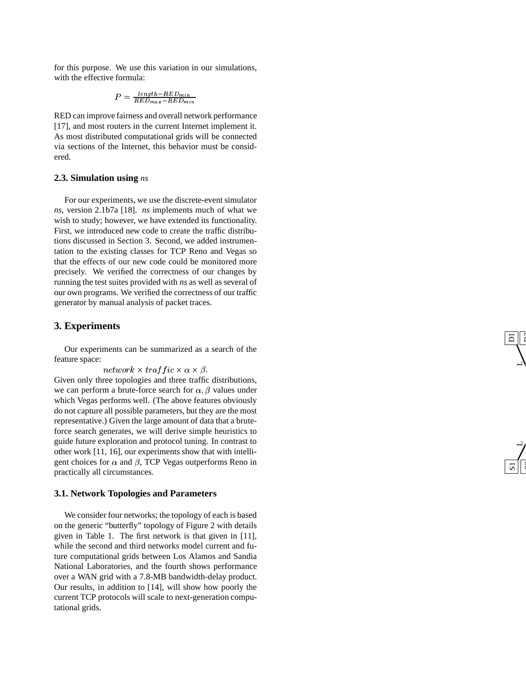for this purpose. We use this variation in our simulations, with the effective formula:

$$
P = \frac{length - RED_{min}}{RED_{max} - RED_{min}}
$$

RED can impro v e fairness and o verall network performance [17], and most routers in the current Internet implement it. As most distributed computational grids will be connected via sections of the Internet, this behavior must be considered.

# **2.3 . Simulation using** *ns*

For our experiments, we use the discrete-e vent simulator *ns* , version 2.1b7a [18]. *ns* implements much of what we wish to study; howe ver , we hav e extended its functionality . First, we introduced ne w code to create the traffic distributions discussed in Section 3. Second, we added instrumentation to the existing classes for TCP Reno and Vegas so that the effects of our ne w code could be monitored more precisely . We verified the correctness of our changes by running the test suites provided with *ns* as well as se veral of our own programs. We verified the correctness of our traffic generator by manual analysis of packet traces.

# **3. Experiments**

Our experiments can be summarized as a search of the feature space:

#### $network \times traffic \times \alpha \times \beta.$

Gi ven only three topologies and three traffic distributions, we can perform a brute-force search for  $\alpha$ ,  $\beta$  values under which Vegas performs well. (The above features obviously do not capture all possible parameters, but the y are the most representati ve.) Gi ven the large amount of data that a bruteforce search generates, we will derive simple heuristics to guide future exploration and protocol tuning. In contrast to other work [11 , 16], our experiments sho w that with intelligent choices for  $\alpha$  and  $\beta$ , TCP Vegas outperforms Reno in practically all circumstances.

5 t<br>C

 $\overline{\phantom{0}}$ 

L

 $\overline{\mathsf{d}}$ r

# **3.1 . Network Topologies and Parameters**

We consider four networks; the topology of each is based on the generic "butterfly" topology of Figure 2 with details gi ven in Table 1. The first network is that gi ven in [11], while the second and third networks model current and future computational grids between Los Alamos and Sandia National Laboratories, and the fourth shows performance over a WAN grid with a 7.8-MB bandwidth-delay product. Our results, in addition to [14], will sho w ho w poorly the current TCP protocols will scale to next-generation computational grids.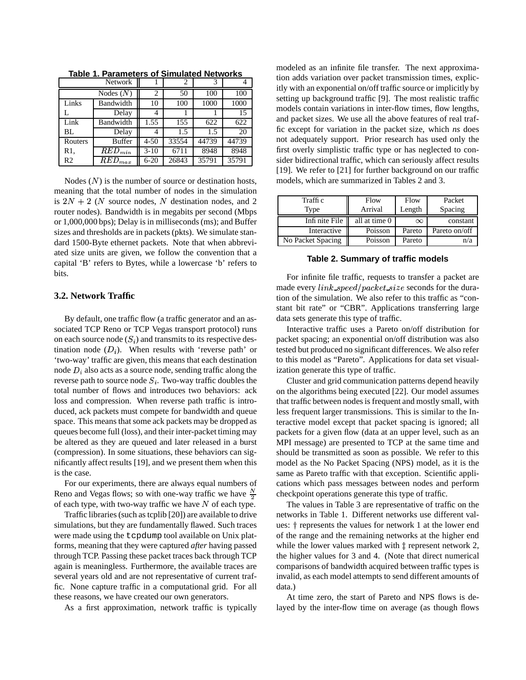| <b>Network</b> |                        |          | 2     | 3     |       |
|----------------|------------------------|----------|-------|-------|-------|
|                | Nodes $(N)$            | 2        | 50    | 100   | 100   |
| Links          | Bandwidth              | 10       | 100   | 1000  | 1000  |
|                | Delay                  |          |       |       | 15    |
| Link           | Bandwidth              | 1.55     | 155   | 622   | 622   |
| BL.            | Delay                  |          | 1.5   | 1.5   | 20    |
| Routers        | <b>Buffer</b>          | $4 - 50$ | 33554 | 44739 | 44739 |
| R1.            | $\overline{R}ED_{min}$ | $3-10$   | 6711  | 8948  | 8948  |
| R <sub>2</sub> | $\overline{R}ED_{max}$ | $6 - 20$ | 26843 | 35791 | 35791 |

**Table 1. Parameters of Simulated Networks**

Nodes  $(N)$  is the number of source or destination hosts, meaning that the total number of nodes in the simulation is  $2N + 2$  (N source nodes, N destination nodes, and 2 router nodes). Bandwidth is in megabits per second (Mbps or 1,000,000 bps); Delay is in milliseconds(ms); and Buffer sizes and thresholds are in packets (pkts). We simulate standard 1500-Byte ethernet packets. Note that when abbreviated size units are given, we follow the convention that a capital 'B' refers to Bytes, while a lowercase 'b' refers to bits.

### **3.2. Network Traffic**

By default, one traffic flow (a traffic generator and an associated TCP Reno or TCP Vegas transport protocol) runs on each source node  $(S_i)$  and transmits to its respective destination node  $(D_i)$ . When results with 'reverse path' or 'two-way' traffic are given, this means that each destination node  $D_i$  also acts as a source node, sending traffic along the reverse path to source node  $S_i$ . Two-way traffic doubles the total number of flows and introduces two behaviors: ack loss and compression. When reverse path traffic is introduced, ack packets must compete for bandwidth and queue space. This means that some ack packets may be dropped as queues become full (loss), and their inter-packet timing may be altered as they are queued and later released in a burst (compression). In some situations, these behaviors can significantly affect results [19], and we present them when this is the case.

For our experiments, there are always equal numbers of Reno and Vegas flows; so with one-way traffic we have  $\frac{N}{2}$ of each type, with two-way traffic we have  $N$  of each type.

Traffic libraries(such as tcplib [20]) are available to drive simulations, but they are fundamentally flawed. Such traces were made using the tcpdump tool available on Unix platforms, meaning that they were captured *after* having passed through TCP. Passing these packet traces back through TCP again is meaningless. Furthermore, the available traces are several years old and are not representative of current traffic. None capture traffic in a computational grid. For all these reasons, we have created our own generators.

As a first approximation, network traffic is typically

modeled as an infinite file transfer. The next approximation adds variation over packet transmission times, explicitly with an exponential on/off traffic source or implicitly by setting up background traffic [9]. The most realistic traffic models contain variations in inter-flow times, flow lengths, and packet sizes. We use all the above features of real traffic except for variation in the packet size, which *ns* does not adequately support. Prior research has used only the first overly simplistic traffic type or has neglected to consider bidirectional traffic, which can seriously affect results [19]. We refer to [21] for further background on our traffic models, which are summarized in Tables 2 and 3.

| Traffi c          | Flow          | Flow     | Packet        |
|-------------------|---------------|----------|---------------|
| Type              | Arrival       | Length   | Spacing       |
| Infi nite File    | all at time 0 | $\infty$ | constant      |
| Interactive       | Poisson       | Pareto   | Pareto on/off |
| No Packet Spacing | Poisson       | Pareto   | n/a           |

**Table 2. Summary of traffic models**

For infinite file traffic, requests to transfer a packet are made every  $link\_speed/packet\_size$  seconds for the duration of the simulation. We also refer to this traffic as "constant bit rate" or "CBR". Applications transferring large data sets generate this type of traffic.

Interactive traffic uses a Pareto on/off distribution for packet spacing; an exponential on/off distribution was also tested but produced no significant differences. We also refer to this model as "Pareto". Applications for data set visualization generate this type of traffic.

Cluster and grid communication patterns depend heavily on the algorithms being executed [22]. Our model assumes that traffic between nodesis frequent and mostly small, with less frequent larger transmissions. This is similar to the Interactive model except that packet spacing is ignored; all packets for a given flow (data at an upper level, such as an MPI message) are presented to TCP at the same time and should be transmitted as soon as possible. We refer to this model as the No Packet Spacing (NPS) model, as it is the same as Pareto traffic with that exception. Scientific applications which pass messages between nodes and perform checkpoint operations generate this type of traffic.

The values in Table 3 are representative of traffic on the networks in Table 1. Different networks use different values:  $\dagger$  represents the values for network 1 at the lower end of the range and the remaining networks at the higher end while the lower values marked with  $\ddagger$  represent network 2, the higher values for 3 and 4. (Note that direct numerical comparisons of bandwidth acquired between traffic types is invalid, as each model attempts to send different amounts of data.)

At time zero, the start of Pareto and NPS flows is delayed by the inter-flow time on average (as though flows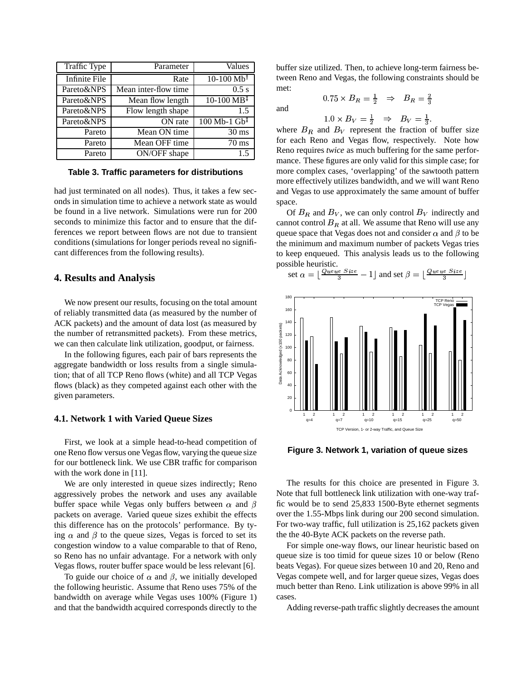| Traffic Type         | Parameter                                | Values                         |
|----------------------|------------------------------------------|--------------------------------|
| <b>Infinite File</b> | Rate                                     | $10-100 \text{ Mb}^{\dagger}$  |
| Pareto&NPS           | $\overline{\text{Mean}}$ inter-flow time | $0.5$ s                        |
| Pareto&NPS           | Mean flow length                         | $10-100 \text{ MB}^{\ddagger}$ |
| Pareto&NPS           | Flow length shape                        | 1.5                            |
| Pareto&NPS           | ON rate                                  | $100$ Mb-1 Gb <sup>+</sup>     |
| Pareto               | Mean ON time                             | $30 \text{ ms}$                |
| Pareto               | Mean OFF time                            | $70 \text{ ms}$                |
| Pareto               | ON/OFF shape                             | 1.5                            |

**Table 3. Traffic parameters for distributions**

had just terminated on all nodes). Thus, it takes a few seconds in simulation time to achieve a network state as would be found in a live network. Simulations were run for 200 seconds to minimize this factor and to ensure that the differences we report between flows are not due to transient conditions (simulations for longer periods reveal no significant differences from the following results).

# **4. Results and Analysis**

We now present our results, focusing on the total amount of reliably transmitted data (as measured by the number of ACK packets) and the amount of data lost (as measured by the number of retransmitted packets). From these metrics, we can then calculate link utilization, goodput, or fairness.

In the following figures, each pair of bars represents the aggregate bandwidth or loss results from a single simulation; that of all TCP Reno flows (white) and all TCP Vegas flows (black) as they competed against each other with the given parameters.

# **4.1. Network 1 with Varied Queue Sizes**

First, we look at a simple head-to-head competition of one Reno flow versus one Vegas flow, varying the queue size for our bottleneck link. We use CBR traffic for comparison with the work done in [11].

We are only interested in queue sizes indirectly; Reno aggressively probes the network and uses any available buffer space while Vegas only buffers between  $\alpha$  and  $\beta$ packets on average. Varied queue sizes exhibit the effects this difference has on the protocols' performance. By tying  $\alpha$  and  $\beta$  to the queue sizes, Vegas is forced to set its congestion window to a value comparable to that of Reno, so Reno has no unfair advantage. For a network with only Vegas flows, router buffer space would be less relevant [6].

To guide our choice of  $\alpha$  and  $\beta$ , we initially developed the following heuristic. Assume that Reno uses 75% of the bandwidth on average while Vegas uses 100% (Figure 1) and that the bandwidth acquired corresponds directly to the buffer size utilized. Then, to achieve long-term fairness between Reno and Vegas, the following constraints should be met:  $0.75 \times B_R = \frac{1}{2} \Rightarrow B_R = \frac{2}{2}$ 

and

$$
H = \frac{1}{2} \rightarrow H = \frac{3}{2}
$$

 $1.0 \times B_V = \frac{1}{2}$   $\Rightarrow$  $\frac{1}{2}$   $\Rightarrow$   $B_V = \frac{1}{3}$ .

where  $B_R$  and  $B_V$  represent the fraction of buffer size for each Reno and Vegas flow, respectively. Note how Reno requires *twice* as much buffering for the same performance. These figures are only valid for this simple case; for more complex cases, 'overlapping' of the sawtooth pattern more effectively utilizes bandwidth, and we will want Reno and Vegas to use approximately the same amount of buffer space.

Of  $B_R$  and  $B_V$ , we can only control  $B_V$  indirectly and cannot control  $B_R$  at all. We assume that Reno will use any queue space that Vegas does not and consider  $\alpha$  and  $\beta$  to be the minimum and maximum number of packets Vegas tries to keep enqueued. This analysis leads us to the following possible heuristic.

set 
$$
\alpha = \lfloor \frac{Queue\ Size}{3} - 1 \rfloor
$$
 and set  $\beta = \lfloor \frac{Queue\ Size}{3} \rfloor$ 



**Figure 3. Network 1, variation of queue sizes**

The results for this choice are presented in Figure 3. Note that full bottleneck link utilization with one-way traffic would be to send 25,833 1500-Byte ethernet segments over the 1.55-Mbps link during our 200 second simulation. For two-way traffic, full utilization is 25,162 packets given the the 40-Byte ACK packets on the reverse path.

For simple one-way flows, our linear heuristic based on queue size is too timid for queue sizes 10 or below (Reno beats Vegas). For queue sizes between 10 and 20, Reno and Vegas compete well, and for larger queue sizes, Vegas does much better than Reno. Link utilization is above 99% in all cases.

Adding reverse-path traffic slightly decreases the amount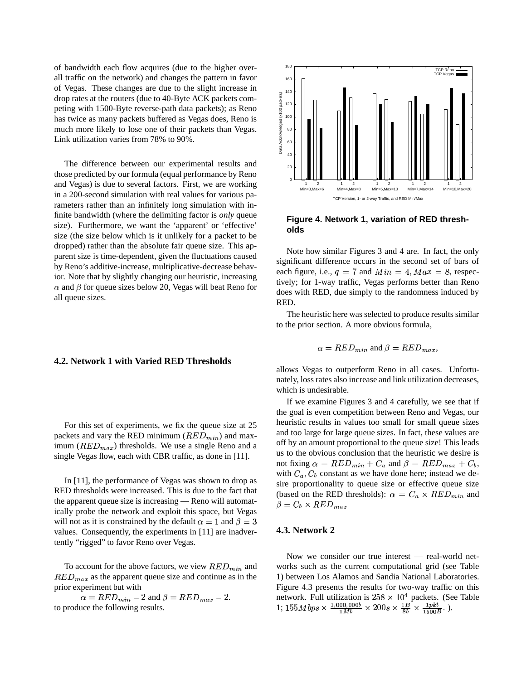of bandwidth each flow acquires (due to the higher overall traffic on the network) and changes the pattern in favor of Vegas. These changes are due to the slight increase in drop rates at the routers (due to 40-Byte ACK packets competing with 1500-Byte reverse-path data packets); as Reno has twice as many packets buffered as Vegas does, Reno is much more likely to lose one of their packets than Vegas. Link utilization varies from 78% to 90%.

The difference between our experimental results and those predicted by our formula (equal performance by Reno and Vegas) is due to several factors. First, we are working in a 200-second simulation with real values for various parameters rather than an infinitely long simulation with infinite bandwidth (where the delimiting factor is *only* queue size). Furthermore, we want the 'apparent' or 'effective' size (the size below which is it unlikely for a packet to be dropped) rather than the absolute fair queue size. This apparent size is time-dependent, given the fluctuations caused by Reno's additive-increase, multiplicative-decrease behavior. Note that by slightly changing our heuristic, increasing  $\alpha$  and  $\beta$  for queue sizes below 20, Vegas will beat Reno for all queue sizes.

# **4.2. Network 1 with Varied RED Thresholds**

For this set of experiments, we fix the queue size at 25 packets and vary the RED minimum  $(RED_{min})$  and maximum ( $RED_{max}$ ) thresholds. We use a single Reno and a single Vegas flow, each with CBR traffic, as done in [11].

In [11], the performance of Vegas was shown to drop as RED thresholds were increased. This is due to the fact that the apparent queue size is increasing — Reno will automatically probe the network and exploit this space, but Vegas will not as it is constrained by the default  $\alpha = 1$  and  $\beta = 3$ values. Consequently, the experiments in [11] are inadvertently "rigged" to favor Reno over Vegas.

To account for the above factors, we view  $RED_{min}$  and  $RED_{max}$  as the apparent queue size and continue as in the prior experiment but with

 $\alpha = RED_{min} - 2$  and  $\beta = RED_{max} - 2$ . to produce the following results.



**Figure 4. Network 1, variation of RED thresholds**

Note how similar Figures 3 and 4 are. In fact, the only significant difference occurs in the second set of bars of each figure, i.e.,  $q = 7$  and  $Min = 4, Max = 8$ , respectively; for 1-way traffic, Vegas performs better than Reno does with RED, due simply to the randomness induced by RED.

The heuristic here was selected to produce results similar to the prior section. A more obvious formula,

$$
\alpha = RED_{min}
$$
 and  $\beta = RED_{max}$ ,

allows Vegas to outperform Reno in all cases. Unfortunately, loss rates also increase and link utilization decreases, which is undesirable.

If we examine Figures 3 and 4 carefully, we see that if the goal is even competition between Reno and Vegas, our heuristic results in values too small for small queue sizes and too large for large queue sizes. In fact, these values are off by an amount proportional to the queue size! This leads us to the obvious conclusion that the heuristic we desire is not fixing  $\alpha = RED_{min} + C_a$  and  $\beta = RED_{max} + C_b$ , with  $C_a, C_b$  constant as we have done here; instead we desire proportionality to queue size or effective queue size (based on the RED thresholds):  $\alpha = C_a \times RED_{min}$  and  $\beta = C_b \times RED_{max}$ 

#### **4.3. Network 2**

Now we consider our true interest — real-world networks such as the current computational grid (see Table 1) between Los Alamos and Sandia National Laboratories. Figure 4.3 presents the results for two-way traffic on this network. Full utilization is  $258 \times 10^4$  packets. (See Table 1;  $155Mbps \times \frac{1,000,000b}{1Mb} \times 200s \times \frac{1B}{8b} \times \frac{1pk}{1500B}$ .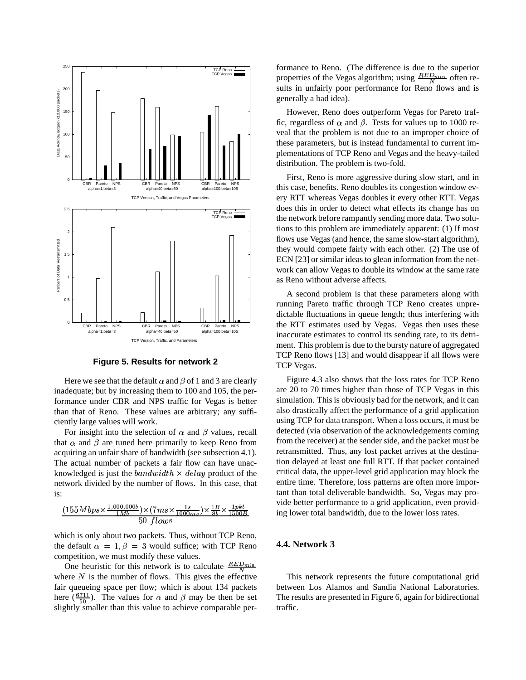

**Figure 5. Results for network 2**

Here we see that the default  $\alpha$  and  $\beta$  of 1 and 3 are clearly inadequate; but by increasing them to 100 and 105, the performance under CBR and NPS traffic for Vegas is better than that of Reno. These values are arbitrary; any sufficiently large values will work.

For insight into the selection of  $\alpha$  and  $\beta$  values, recall that  $\alpha$  and  $\beta$  are tuned here primarily to keep Reno from acquiring an unfair share of bandwidth (see subsection 4.1). The actual number of packets a fair flow can have unacknowledged is just the  $bandwidth \times delay$  product of the network divided by the number of flows. In this case, that is:

$$
\frac{(155Mbps \times \frac{1,000,000b}{1Mb}) \times (7ms \times \frac{1s}{1000ms}) \times \frac{1B}{8b} \times \frac{1pkt}{1500B}}{50 \text{ flows}}
$$

which is only about two packets. Thus, without TCP Reno, the default  $\alpha = 1, \beta = 3$  would suffice; with TCP Reno competition, we must modify these values.

One heuristic for this network is to calculate  $\frac{RED_{min}}{N}$ where  $N$  is the number of flows. This gives the effective fair queueing space per flow; which is about 134 packets here  $(\frac{6711}{50})$ . The values for  $\alpha$  and  $\beta$  may be then be set slightly smaller than this value to achieve comparable per-

formance to Reno. (The difference is due to the superior properties of the Vegas algorithm; using  $\frac{RED_{min}}{N}$  often results in unfairly poor performance for Reno flows and is generally a bad idea).

However, Reno does outperform Vegas for Pareto traffic, regardless of  $\alpha$  and  $\beta$ . Tests for values up to 1000 reveal that the problem is not due to an improper choice of these parameters, but is instead fundamental to current implementations of TCP Reno and Vegas and the heavy-tailed distribution. The problem is two-fold.

First, Reno is more aggressive during slow start, and in this case, benefits. Reno doubles its congestion window every RTT whereas Vegas doubles it every other RTT. Vegas does this in order to detect what effects its change has on the network before rampantly sending more data. Two solutions to this problem are immediately apparent: (1) If most flows use Vegas (and hence, the same slow-start algorithm), they would compete fairly with each other. (2) The use of ECN [23] or similar ideas to glean information from the network can allow Vegas to double its window at the same rate as Reno without adverse affects.

A second problem is that these parameters along with running Pareto traffic through TCP Reno creates unpredictable fluctuations in queue length; thus interfering with the RTT estimates used by Vegas. Vegas then uses these inaccurate estimates to control its sending rate, to its detriment. This problem is due to the bursty nature of aggregated TCP Reno flows [13] and would disappear if all flows were TCP Vegas.

Figure 4.3 also shows that the loss rates for TCP Reno are 20 to 70 times higher than those of TCP Vegas in this simulation. This is obviously bad for the network, and it can also drastically affect the performance of a grid application using TCP for data transport. When a loss occurs, it must be detected (via observation of the acknowledgements coming from the receiver) at the sender side, and the packet must be retransmitted. Thus, any lost packet arrives at the destination delayed at least one full RTT. If that packet contained critical data, the upper-level grid application may block the entire time. Therefore, loss patterns are often more important than total deliverable bandwidth. So, Vegas may provide better performance to a grid application, even providing lower total bandwidth, due to the lower loss rates.

# **4.4. Network 3**

This network represents the future computational grid between Los Alamos and Sandia National Laboratories. The results are presented in Figure 6, again for bidirectional traffic.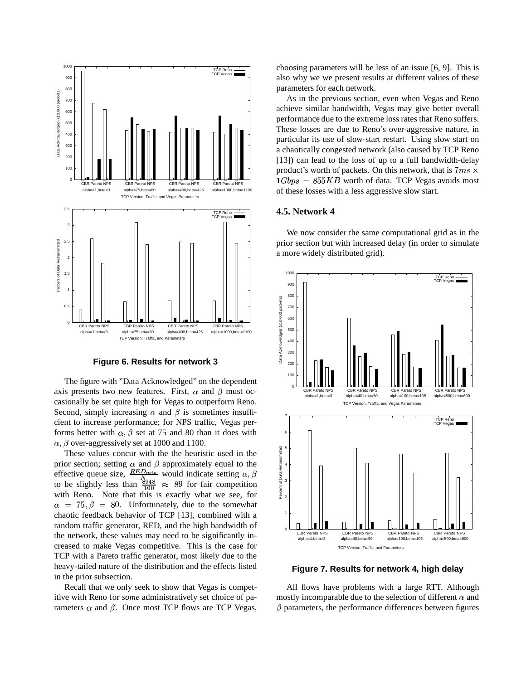

**Figure 6. Results for network 3**

The figure with "Data Acknowledged" on the dependent axis presents two new features. First,  $\alpha$  and  $\beta$  must occasionally be set quite high for Vegas to outperform Reno. Second, simply increasing  $\alpha$  and  $\beta$  is sometimes insufficient to increase performance; for NPS traffic, Vegas performs better with  $\alpha$ ,  $\beta$  set at 75 and 80 than it does with  $\alpha$ ,  $\beta$  over-aggressively set at 1000 and 1100.

These values concur with the the heuristic used in the prior section; setting  $\alpha$  and  $\beta$  approximately equal to the effective queue size,  $\frac{RED_{min}}{N}$  would indicate setting  $\alpha, \beta$   $\qquad \frac{1}{8}$ to be slightly less than  $\frac{\frac{8948}{100}}{100} \approx 89$  for fair competition with Reno. Note that this is exactly what we see, for  $\alpha = 75, \beta = 80$ . Unfortunately, due to the somewhat chaotic feedback behavior of TCP [13], combined with a random traffic generator, RED, and the high bandwidth of the network, these values may need to be significantly increased to make Vegas competitive. This is the case for TCP with a Pareto traffic generator, most likely due to the heavy-tailed nature of the distribution and the effects listed in the prior subsection.

Recall that we only seek to show that Vegas is competitive with Reno for *some* administratively set choice of parameters  $\alpha$  and  $\beta$ . Once most TCP flows are TCP Vegas,

choosing parameters will be less of an issue [6, 9]. This is also why we we present results at different values of these parameters for each network.

As in the previous section, even when Vegas and Reno achieve similar bandwidth, Vegas may give better overall performance due to the extreme loss rates that Reno suffers. These losses are due to Reno's over-aggressive nature, in particular its use of slow-start restart. Using slow start on a chaotically congested network (also caused by TCP Reno [13]) can lead to the loss of up to a full bandwidth-delay product's worth of packets. On this network, that is  $7ms \times$  $1Gbps = 855KB$  worth of data. TCP Vegas avoids most of these losses with a less aggressive slow start.

#### **4.5. Network 4**

We now consider the same computational grid as in the prior section but with increased delay (in order to simulate a more widely distributed grid).



**Figure 7. Results for network 4, high delay**

All flows have problems with a large RTT. Although mostly incomparable due to the selection of different  $\alpha$  and  $\beta$  parameters, the performance differences between figures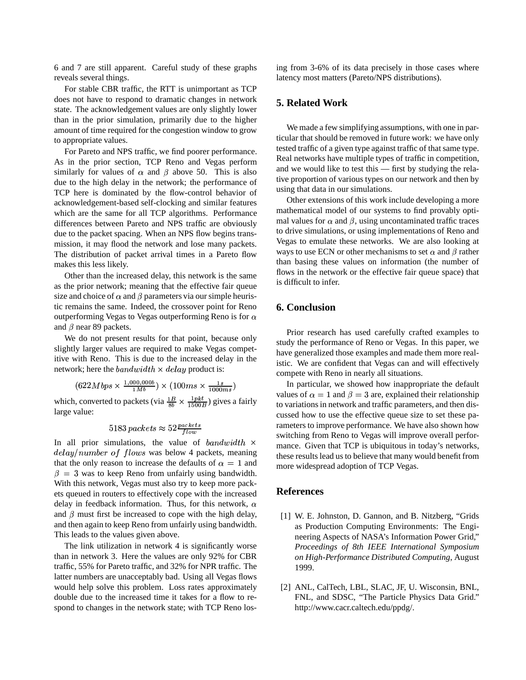6 and 7 are still apparent. Careful study of these graphs reveals several things.

For stable CBR traffic, the RTT is unimportant as TCP does not have to respond to dramatic changes in network state. The acknowledgement values are only slightly lower than in the prior simulation, primarily due to the higher amount of time required for the congestion window to grow to appropriate values.

For Pareto and NPS traffic, we find poorer performance. As in the prior section, TCP Reno and Vegas perform similarly for values of  $\alpha$  and  $\beta$  above 50. This is also due to the high delay in the network; the performance of TCP here is dominated by the flow-control behavior of acknowledgement-based self-clocking and similar features which are the same for all TCP algorithms. Performance differences between Pareto and NPS traffic are obviously due to the packet spacing. When an NPS flow begins transmission, it may flood the network and lose many packets. The distribution of packet arrival times in a Pareto flow makes this less likely.

Other than the increased delay, this network is the same as the prior network; meaning that the effective fair queue size and choice of  $\alpha$  and  $\beta$  parameters via our simple heuristic remains the same. Indeed, the crossover point for Reno outperforming Vegas to Vegas outperforming Reno is for  $\alpha$ and  $\beta$  near 89 packets.

We do not present results for that point, because only slightly larger values are required to make Vegas competitive with Reno. This is due to the increased delay in the network; here the  $bandwidth \times delay$  product is:

$$
(622Mbps \times \frac{1,000,000b}{1Mb}) \times (100ms \times \frac{1s}{1000ms})
$$
\nwhich, converted to packets (via  $\frac{1B}{8b} \times \frac{1pkt}{1500B}$ ) gives a fairly large value:

$$
5183
$$
 packets  $\approx 52 \frac{packets}{flow}$ 

In all prior simulations, the value of  $bandwidth \times$  mand  $delay/number\ of\ flows\ was\ below\ 4\ packets, meaning$ that the only reason to increase the defaults of  $\alpha = 1$  and  $\beta = 3$  was to keep Reno from unfairly using bandwidth. With this network, Vegas must also try to keep more packets queued in routers to effectively cope with the increased delay in feedback information. Thus, for this network,  $\alpha$ and  $\beta$  must first be increased to cope with the high delay, and then again to keep Reno from unfairly using bandwidth. This leads to the values given above.

The link utilization in network 4 is significantly worse than in network 3. Here the values are only 92% for CBR traffic, 55% for Pareto traffic, and 32% for NPR traffic. The latter numbers are unacceptably bad. Using all Vegas flows would help solve this problem. Loss rates approximately double due to the increased time it takes for a flow to respond to changes in the network state; with TCP Reno losing from 3-6% of its data precisely in those cases where latency most matters (Pareto/NPS distributions).

# **5. Related Work**

We made a few simplifying assumptions, with one in particular that should be removed in future work: we have only tested traffic of a given type against traffic of that same type. Real networks have multiple types of traffic in competition, and we would like to test this — first by studying the relative proportion of various types on our network and then by using that data in our simulations.

Other extensions of this work include developing a more mathematical model of our systems to find provably optimal values for  $\alpha$  and  $\beta$ , using uncontaminated traffic traces to drive simulations, or using implementations of Reno and Vegas to emulate these networks. We are also looking at ways to use ECN or other mechanisms to set  $\alpha$  and  $\beta$  rather than basing these values on information (the number of flows in the network or the effective fair queue space) that is difficult to infer.

# **6. Conclusion**

Prior research has used carefully crafted examples to study the performance of Reno or Vegas. In this paper, we have generalized those examples and made them more realistic. We are confident that Vegas can and will effectively compete with Reno in nearly all situations.

In particular, we showed how inappropriate the default values of  $\alpha = 1$  and  $\beta = 3$  are, explained their relationship to variations in network and traffic parameters, and then discussed how to use the effective queue size to set these parameters to improve performance. We have also shown how switching from Reno to Vegas will improve overall performance. Given that TCP is ubiquitous in today's networks, these results lead us to believe that many would benefit from more widespread adoption of TCP Vegas.

## **References**

- [1] W. E. Johnston, D. Gannon, and B. Nitzberg, "Grids as Production Computing Environments: The Engineering Aspects of NASA's Information Power Grid," *Proceedings of 8th IEEE International Symposium on High-Performance Distributed Computing*, August 1999.
- [2] ANL, CalTech, LBL, SLAC, JF, U. Wisconsin, BNL, FNL, and SDSC, "The Particle Physics Data Grid." http://www.cacr.caltech.edu/ppdg/.